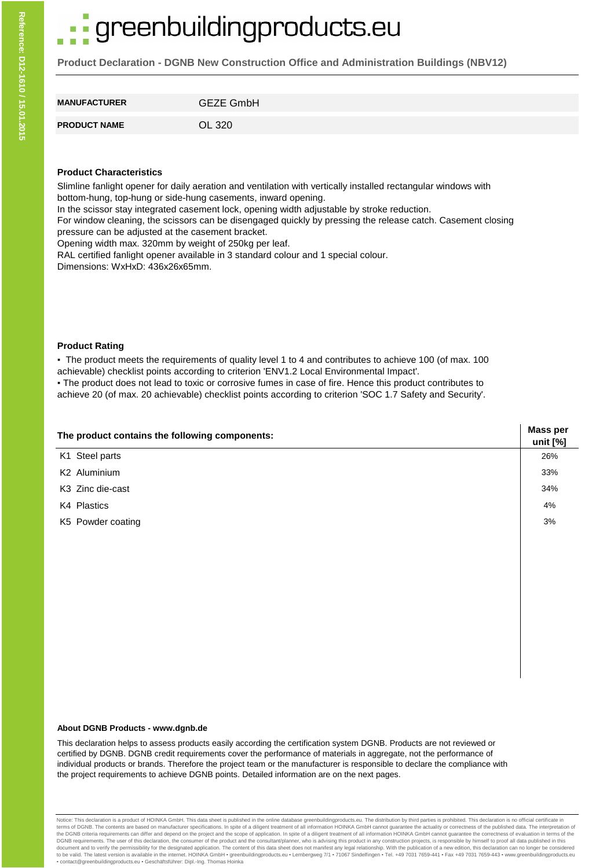# greenbuildingproducts.eu

**Product Declaration - DGNB New Construction Office and Administration Buildings (NBV12)**

| <b>MANUFACTURER</b> | <b>GEZE GmbH</b> |
|---------------------|------------------|
| <b>PRODUCT NAME</b> | OL 320           |

## **Product Characteristics**

Slimline fanlight opener for daily aeration and ventilation with vertically installed rectangular windows with bottom-hung, top-hung or side-hung casements, inward opening.

In the scissor stay integrated casement lock, opening width adjustable by stroke reduction.

For window cleaning, the scissors can be disengaged quickly by pressing the release catch. Casement closing pressure can be adjusted at the casement bracket.

Opening width max. 320mm by weight of 250kg per leaf.

RAL certified fanlight opener available in 3 standard colour and 1 special colour.

Dimensions: WxHxD: 436x26x65mm.

### **Product Rating**

▪ The product meets the requirements of quality level 1 to 4 and contributes to achieve 100 (of max. 100 achievable) checklist points according to criterion 'ENV1.2 Local Environmental Impact'.

▪ The product does not lead to toxic or corrosive fumes in case of fire. Hence this product contributes to achieve 20 (of max. 20 achievable) checklist points according to criterion 'SOC 1.7 Safety and Security'.

| The product contains the following components: |     |  |  |  |  |
|------------------------------------------------|-----|--|--|--|--|
| K1 Steel parts                                 | 26% |  |  |  |  |
| K <sub>2</sub> Aluminium                       | 33% |  |  |  |  |
| K3 Zinc die-cast                               | 34% |  |  |  |  |
| K4 Plastics                                    | 4%  |  |  |  |  |
| K5 Powder coating                              | 3%  |  |  |  |  |
|                                                |     |  |  |  |  |
|                                                |     |  |  |  |  |

#### **About DGNB Products - www.dgnb.de**

This declaration helps to assess products easily according the certification system DGNB. Products are not reviewed or certified by DGNB. DGNB credit requirements cover the performance of materials in aggregate, not the performance of individual products or brands. Therefore the project team or the manufacturer is responsible to declare the compliance with the project requirements to achieve DGNB points. Detailed information are on the next pages.

Notice: This declaration is a product of HOINKA GmbH. This data sheet is published in the online database greenbuildingproducts.eu. The distribution by third parties is prohibited. This declaration is no official certifica terms of DGNB. The contents are based on manufacturer specifications. In spite of a diligent treatment of all information HOINKA GmbH cannot guarantee the actuality or correctness of the published data. The interpretation DGNB requirements. The user of this declaration, the consumer of the product and the consultant/planner, who is advising this product in any construction projects, is responsible by himself to proof all data published in t ▪ contact@greenbuildingproducts.eu ▪ Geschäftsführer: Dipl.-Ing. Thomas Hoinka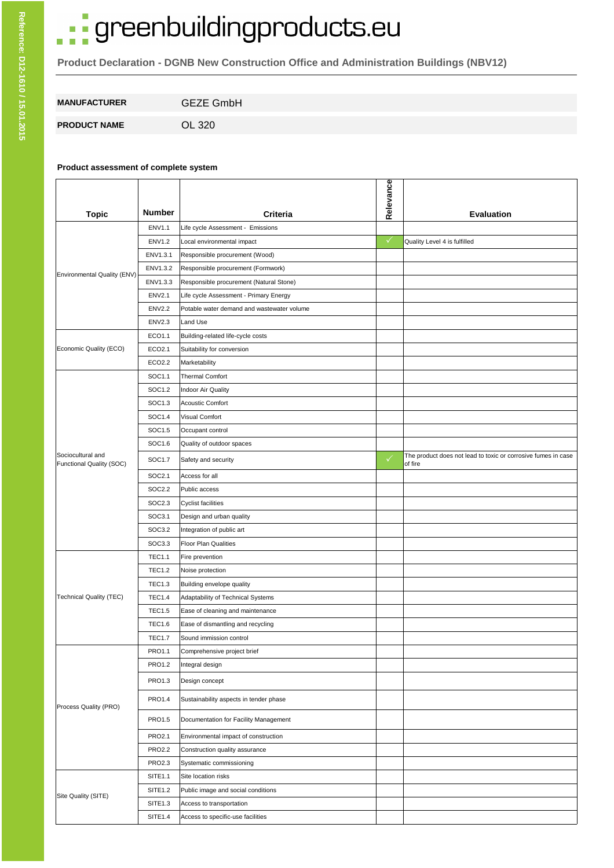# · greenbuildingproducts.eu

**Product Declaration - DGNB New Construction Office and Administration Buildings (NBV12)**

| <b>MANUFACTURER</b> | <b>GEZE GmbH</b> |
|---------------------|------------------|
| <b>PRODUCT NAME</b> | OL 320           |

### **Product assessment of complete system**

|                                               |               |                                            | Relevance    |                                                                          |
|-----------------------------------------------|---------------|--------------------------------------------|--------------|--------------------------------------------------------------------------|
| <b>Topic</b>                                  | <b>Number</b> | <b>Criteria</b>                            |              | <b>Evaluation</b>                                                        |
|                                               | <b>ENV1.1</b> | Life cycle Assessment - Emissions          |              |                                                                          |
|                                               | <b>ENV1.2</b> | Local environmental impact                 | $\checkmark$ | Quality Level 4 is fulfilled                                             |
|                                               | ENV1.3.1      | Responsible procurement (Wood)             |              |                                                                          |
| Environmental Quality (ENV)                   | ENV1.3.2      | Responsible procurement (Formwork)         |              |                                                                          |
|                                               | ENV1.3.3      | Responsible procurement (Natural Stone)    |              |                                                                          |
|                                               | <b>ENV2.1</b> | Life cycle Assessment - Primary Energy     |              |                                                                          |
|                                               | <b>ENV2.2</b> | Potable water demand and wastewater volume |              |                                                                          |
|                                               | <b>ENV2.3</b> | Land Use                                   |              |                                                                          |
|                                               | ECO1.1        | Building-related life-cycle costs          |              |                                                                          |
| Economic Quality (ECO)                        | ECO2.1        | Suitability for conversion                 |              |                                                                          |
|                                               | ECO2.2        | Marketability                              |              |                                                                          |
|                                               | SOC1.1        | <b>Thermal Comfort</b>                     |              |                                                                          |
|                                               | SOC1.2        | Indoor Air Quality                         |              |                                                                          |
|                                               | SOC1.3        | <b>Acoustic Comfort</b>                    |              |                                                                          |
|                                               | SOC1.4        | Visual Comfort                             |              |                                                                          |
|                                               | SOC1.5        | Occupant control                           |              |                                                                          |
|                                               | SOC1.6        | Quality of outdoor spaces                  |              |                                                                          |
| Sociocultural and<br>Functional Quality (SOC) | SOC1.7        | Safety and security                        | $\checkmark$ | The product does not lead to toxic or corrosive fumes in case<br>of fire |
|                                               | SOC2.1        | Access for all                             |              |                                                                          |
|                                               | SOC2.2        | Public access                              |              |                                                                          |
|                                               | SOC2.3        | <b>Cyclist facilities</b>                  |              |                                                                          |
|                                               | SOC3.1        | Design and urban quality                   |              |                                                                          |
|                                               | SOC3.2        | Integration of public art                  |              |                                                                          |
|                                               | SOC3.3        | Floor Plan Qualities                       |              |                                                                          |
|                                               | <b>TEC1.1</b> | Fire prevention                            |              |                                                                          |
|                                               | <b>TEC1.2</b> | Noise protection                           |              |                                                                          |
|                                               | <b>TEC1.3</b> | Building envelope quality                  |              |                                                                          |
| <b>Technical Quality (TEC)</b>                | <b>TEC1.4</b> | Adaptability of Technical Systems          |              |                                                                          |
|                                               | <b>TEC1.5</b> | Ease of cleaning and maintenance           |              |                                                                          |
|                                               | <b>TEC1.6</b> | Ease of dismantling and recycling          |              |                                                                          |
|                                               | <b>TEC1.7</b> | Sound immission control                    |              |                                                                          |
|                                               | PRO1.1        | Comprehensive project brief                |              |                                                                          |
|                                               | <b>PRO1.2</b> | Integral design                            |              |                                                                          |
|                                               | PRO1.3        | Design concept                             |              |                                                                          |
| Process Quality (PRO)                         | PRO1.4        | Sustainability aspects in tender phase     |              |                                                                          |
|                                               | PRO1.5        | Documentation for Facility Management      |              |                                                                          |
|                                               | PRO2.1        | Environmental impact of construction       |              |                                                                          |
|                                               | <b>PRO2.2</b> | Construction quality assurance             |              |                                                                          |
|                                               | PRO2.3        | Systematic commissioning                   |              |                                                                          |
|                                               | SITE1.1       | Site location risks                        |              |                                                                          |
| Site Quality (SITE)                           | SITE1.2       | Public image and social conditions         |              |                                                                          |
|                                               | SITE1.3       | Access to transportation                   |              |                                                                          |
|                                               | SITE1.4       | Access to specific-use facilities          |              |                                                                          |

T.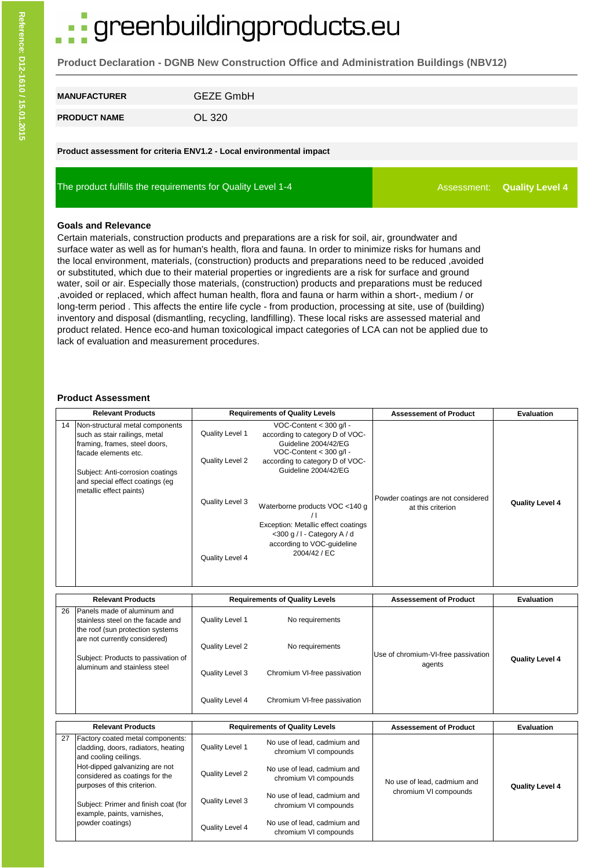# greenbuildingproducts.eu

**Product Declaration - DGNB New Construction Office and Administration Buildings (NBV12)**

| <b>MANUFACTURER</b> | <b>GEZE GmbH</b> |
|---------------------|------------------|
| <b>PRODUCT NAME</b> | OL 320           |

**Product assessment for criteria ENV1.2 - Local environmental impact**

The product fulfills the requirements for Quality Level 1-4

Assessment: **Quality Level 4**

#### **Goals and Relevance**

Certain materials, construction products and preparations are a risk for soil, air, groundwater and surface water as well as for human's health, flora and fauna. In order to minimize risks for humans and the local environment, materials, (construction) products and preparations need to be reduced ,avoided or substituted, which due to their material properties or ingredients are a risk for surface and ground water, soil or air. Especially those materials, (construction) products and preparations must be reduced ,avoided or replaced, which affect human health, flora and fauna or harm within a short-, medium / or long-term period . This affects the entire life cycle - from production, processing at site, use of (building) inventory and disposal (dismantling, recycling, landfilling). These local risks are assessed material and product related. Hence eco-and human toxicological impact categories of LCA can not be applied due to lack of evaluation and measurement procedures.

#### **Product Assessment**

| <b>Relevant Products</b> |                                                                                                                                                                                                                             | <b>Requirements of Quality Levels</b>                                    |                                                                                                                                                                                                                                                                                                                                | <b>Assessement of Product</b>                           | <b>Evaluation</b>      |
|--------------------------|-----------------------------------------------------------------------------------------------------------------------------------------------------------------------------------------------------------------------------|--------------------------------------------------------------------------|--------------------------------------------------------------------------------------------------------------------------------------------------------------------------------------------------------------------------------------------------------------------------------------------------------------------------------|---------------------------------------------------------|------------------------|
| 14                       | Non-structural metal components<br>such as stair railings, metal<br>framing, frames, steel doors,<br>facade elements etc.<br>Subject: Anti-corrosion coatings<br>and special effect coatings (eq<br>metallic effect paints) | Quality Level 1<br>Quality Level 2<br>Quality Level 3<br>Quality Level 4 | VOC-Content < 300 g/l -<br>according to category D of VOC-<br>Guideline 2004/42/EG<br>VOC-Content < 300 g/l -<br>according to category D of VOC-<br>Guideline 2004/42/EG<br>Waterborne products VOC <140 g<br>Exception: Metallic effect coatings<br><300 g / I - Category A / d<br>according to VOC-quideline<br>2004/42 / EC | Powder coatings are not considered<br>at this criterion | <b>Quality Level 4</b> |
|                          |                                                                                                                                                                                                                             |                                                                          |                                                                                                                                                                                                                                                                                                                                |                                                         |                        |
|                          | <b>Relevant Products</b>                                                                                                                                                                                                    |                                                                          | <b>Requirements of Quality Levels</b>                                                                                                                                                                                                                                                                                          | <b>Assessement of Product</b>                           | <b>Evaluation</b>      |
| 26                       | Panels made of aluminum and<br>stainless steel on the facade and<br>the roof (sun protection systems)                                                                                                                       | Quality Level 1                                                          | No requirements                                                                                                                                                                                                                                                                                                                |                                                         |                        |
|                          | are not currently considered)<br>Subject: Products to passivation of                                                                                                                                                        | Quality Level 2                                                          | No requirements                                                                                                                                                                                                                                                                                                                | Use of chromium-VI-free passivation                     | <b>Quality Level 4</b> |
|                          | aluminum and stainless steel                                                                                                                                                                                                | Quality Level 3                                                          | Chromium VI-free passivation                                                                                                                                                                                                                                                                                                   | agents                                                  |                        |

|    | <b>Relevant Products</b>                                                                         |                 | <b>Requirements of Quality Levels</b>                | <b>Assessement of Product</b> | Evaluation             |
|----|--------------------------------------------------------------------------------------------------|-----------------|------------------------------------------------------|-------------------------------|------------------------|
| 27 | Factory coated metal components:<br>cladding, doors, radiators, heating<br>and cooling ceilings. | Quality Level 1 | No use of lead, cadmium and<br>chromium VI compounds |                               |                        |
|    | Hot-dipped galvanizing are not<br>considered as coatings for the<br>purposes of this criterion.  | Quality Level 2 | No use of lead, cadmium and<br>chromium VI compounds | No use of lead, cadmium and   | <b>Quality Level 4</b> |
|    | Subject: Primer and finish coat (for<br>lexample, paints, varnishes,                             | Quality Level 3 | No use of lead, cadmium and<br>chromium VI compounds | chromium VI compounds         |                        |
|    | powder coatings)                                                                                 | Quality Level 4 | No use of lead, cadmium and<br>chromium VI compounds |                               |                        |

Quality Level 4 Chromium VI-free passivation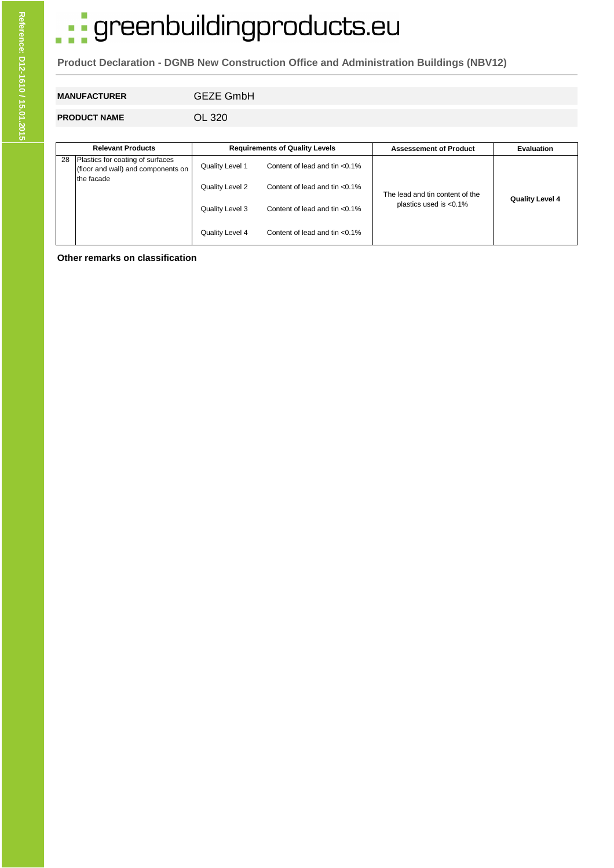# · greenbuildingproducts.eu

**Product Declaration - DGNB New Construction Office and Administration Buildings (NBV12)**

# **MANUFACTURER** GEZE GmbH

**PRODUCT NAME** OL 320

|    | <b>Relevant Products</b>                                               |                 | <b>Requirements of Quality Levels</b> | <b>Assessement of Product</b>   | <b>Evaluation</b>      |
|----|------------------------------------------------------------------------|-----------------|---------------------------------------|---------------------------------|------------------------|
| 28 | Plastics for coating of surfaces<br>(floor and wall) and components on | Quality Level 1 | Content of lead and tin $< 0.1\%$     |                                 |                        |
|    | the facade                                                             | Quality Level 2 | Content of lead and tin $< 0.1\%$     | The lead and tin content of the | <b>Quality Level 4</b> |
|    |                                                                        | Quality Level 3 | Content of lead and tin $< 0.1\%$     | plastics used is $< 0.1\%$      |                        |
|    |                                                                        | Quality Level 4 | Content of lead and tin $< 0.1\%$     |                                 |                        |

**Other remarks on classification**